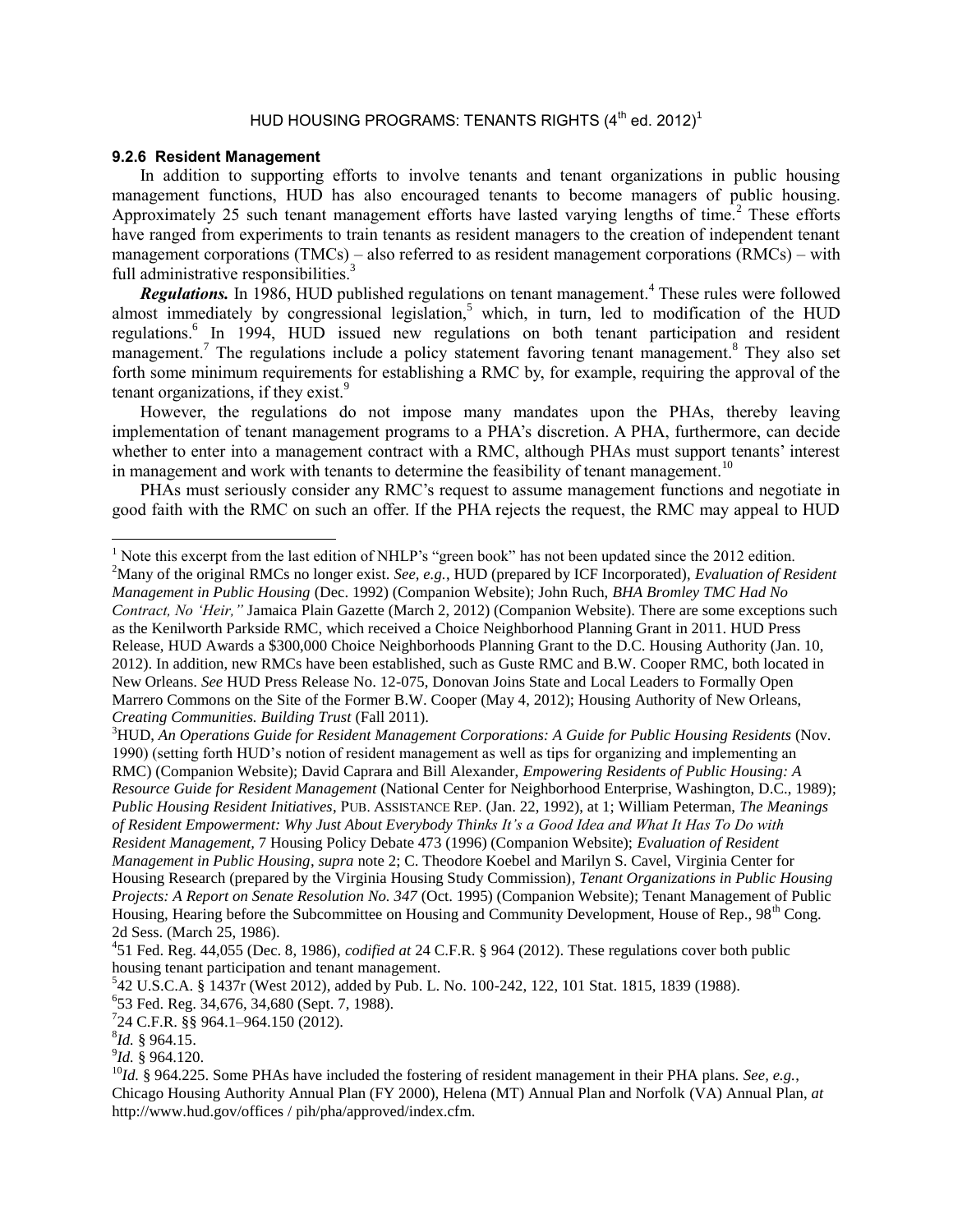## <span id="page-0-0"></span>HUD HOUSING PROGRAMS: TENANTS RIGHTS  $(4^{\text{th}}$  ed. 2012)<sup>1</sup>

## **9.2.6 Resident Management**

In addition to supporting efforts to involve tenants and tenant organizations in public housing management functions, HUD has also encouraged tenants to become managers of public housing. Approximately 25 such tenant management efforts have lasted varying lengths of time.<sup>2</sup> These efforts have ranged from experiments to train tenants as resident managers to the creation of independent tenant management corporations (TMCs) – also referred to as resident management corporations (RMCs) – with full administrative responsibilities.<sup>3</sup>

*Regulations.* In 1986, HUD published regulations on tenant management.<sup>4</sup> These rules were followed almost immediately by congressional legislation,<sup>5</sup> which, in turn, led to modification of the HUD regulations.<sup>6</sup> In 1994, HUD issued new regulations on both tenant participation and resident management.<sup>7</sup> The regulations include a policy statement favoring tenant management.<sup>8</sup> They also set forth some minimum requirements for establishing a RMC by, for example, requiring the approval of the tenant organizations, if they exist.<sup>9</sup>

However, the regulations do not impose many mandates upon the PHAs, thereby leaving implementation of tenant management programs to a PHA's discretion. A PHA, furthermore, can decide whether to enter into a management contract with a RMC, although PHAs must support tenants' interest in management and work with tenants to determine the feasibility of tenant management.<sup>10</sup>

PHAs must seriously consider any RMC's request to assume management functions and negotiate in good faith with the RMC on such an offer. If the PHA rejects the request, the RMC may appeal to HUD

<sup>3</sup>HUD, *An Operations Guide for Resident Management Corporations: A Guide for Public Housing Residents* (Nov. 1990) (setting forth HUD's notion of resident management as well as tips for organizing and implementing an RMC) (Companion Website); David Caprara and Bill Alexander, *Empowering Residents of Public Housing: A Resource Guide for Resident Management* (National Center for Neighborhood Enterprise, Washington, D.C., 1989); *Public Housing Resident Initiatives*, PUB. ASSISTANCE REP. (Jan. 22, 1992), at 1; William Peterman, *The Meanings of Resident Empowerment: Why Just About Everybody Thinks It's a Good Idea and What It Has To Do with Resident Management,* 7 Housing Policy Debate 473 (1996) (Companion Website); *Evaluation of Resident Management in Public Housing*, *supra* not[e 2;](#page-0-0) C. Theodore Koebel and Marilyn S. Cavel, Virginia Center for Housing Research (prepared by the Virginia Housing Study Commission)*, Tenant Organizations in Public Housing Projects: A Report on Senate Resolution No. 347* (Oct. 1995) (Companion Website); Tenant Management of Public Housing, Hearing before the Subcommittee on Housing and Community Development, House of Rep., 98<sup>th</sup> Cong. 2d Sess. (March 25, 1986).

 $\overline{a}$ 

<sup>&</sup>lt;sup>1</sup> Note this excerpt from the last edition of NHLP's "green book" has not been updated since the 2012 edition.

<sup>2</sup>Many of the original RMCs no longer exist. *See, e.g.*, HUD (prepared by ICF Incorporated), *Evaluation of Resident Management in Public Housing* (Dec. 1992) (Companion Website); John Ruch, *BHA Bromley TMC Had No Contract, No 'Heir,"* Jamaica Plain Gazette (March 2, 2012) (Companion Website). There are some exceptions such as the Kenilworth Parkside RMC, which received a Choice Neighborhood Planning Grant in 2011. HUD Press Release, HUD Awards a \$300,000 Choice Neighborhoods Planning Grant to the D.C. Housing Authority (Jan. 10, 2012). In addition, new RMCs have been established, such as Guste RMC and B.W. Cooper RMC, both located in New Orleans. *See* HUD Press Release No. 12-075, Donovan Joins State and Local Leaders to Formally Open Marrero Commons on the Site of the Former B.W. Cooper (May 4, 2012); Housing Authority of New Orleans, *Creating Communities. Building Trust* (Fall 2011).

<sup>4</sup> 51 Fed. Reg. 44,055 (Dec. 8, 1986), *codified at* 24 C.F.R. § 964 (2012). These regulations cover both public housing tenant participation and tenant management.

<sup>5</sup> 42 U.S.C.A. § 1437r (West 2012), added by Pub. L. No. 100-242, 122, 101 Stat. 1815, 1839 (1988).

<sup>6</sup> 53 Fed. Reg. 34,676, 34,680 (Sept. 7, 1988).

<sup>7</sup> 24 C.F.R. §§ 964.1–964.150 (2012).

<sup>8</sup> *Id.* § 964.15.

<sup>9</sup> *Id.* § 964.120.

<sup>10</sup>*Id.* § 964.225. Some PHAs have included the fostering of resident management in their PHA plans. *See, e.g.*, Chicago Housing Authority Annual Plan (FY 2000), Helena (MT) Annual Plan and Norfolk (VA) Annual Plan, *at*  http://www.hud.gov/offices / pih/pha/approved/index.cfm.